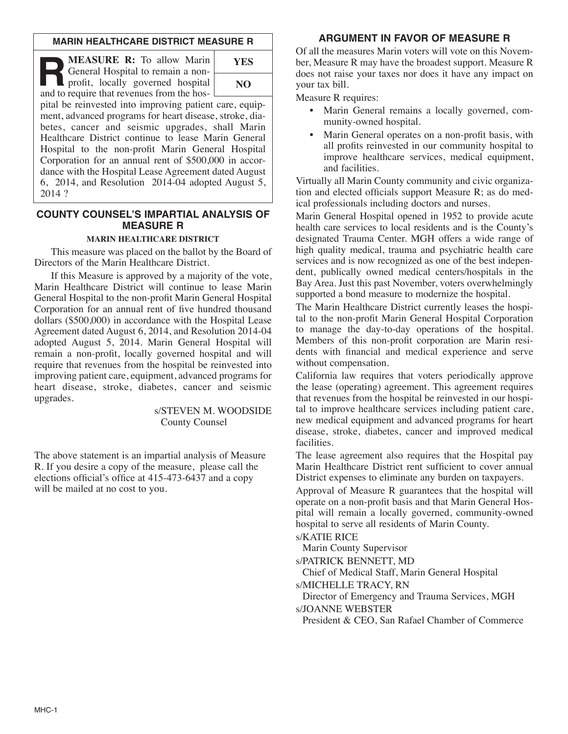### **MARIN HEALTHCARE DISTRICT MEASURE R**

**R:** To allow Marin<br> **R** General Hospital to remain a non-<br>
profit, locally governed hospital<br>
and to require that revenues from the hos General Hospital to remain a nonand to require that revenues from the hos- $\Box$ 

| YES |  |
|-----|--|
| NO. |  |

pital be reinvested into improving patient care, equipment, advanced programs for heart disease, stroke, diabetes, cancer and seismic upgrades, shall Marin Healthcare District continue to lease Marin General Hospital to the non-profit Marin General Hospital Corporation for an annual rent of \$500,000 in accordance with the Hospital Lease Agreement dated August 6, 2014, and Resolution 2014-04 adopted August 5, 2014 ?

### **COUNTY COUNSEL'S IMPARTIAL ANALYSIS OF MEASURE R**

#### **MARIN HEALTHCARE DISTRICT**

This measure was placed on the ballot by the Board of Directors of the Marin Healthcare District.

If this Measure is approved by a majority of the vote, Marin Healthcare District will continue to lease Marin General Hospital to the non-profit Marin General Hospital Corporation for an annual rent of five hundred thousand dollars (\$500,000) in accordance with the Hospital Lease Agreement dated August 6, 2014, and Resolution 2014-04 adopted August 5, 2014. Marin General Hospital will remain a non-profit, locally governed hospital and will require that revenues from the hospital be reinvested into improving patient care, equipment, advanced programs for heart disease, stroke, diabetes, cancer and seismic upgrades.

#### s/STEVEN M. WOODSIDE County Counsel

The above statement is an impartial analysis of Measure R. If you desire a copy of the measure, please call the elections official's office at 415-473-6437 and a copy will be mailed at no cost to you.

# **ARGUMENT IN FAVOR OF MEASURE R**

Of all the measures Marin voters will vote on this November, Measure R may have the broadest support. Measure R does not raise your taxes nor does it have any impact on your tax bill.

Measure R requires:

- Marin General remains a locally governed, community-owned hospital.
- Marin General operates on a non-profit basis, with all profits reinvested in our community hospital to improve healthcare services, medical equipment, and facilities.

Virtually all Marin County community and civic organization and elected officials support Measure R; as do medical professionals including doctors and nurses.

Marin General Hospital opened in 1952 to provide acute health care services to local residents and is the County's designated Trauma Center. MGH offers a wide range of high quality medical, trauma and psychiatric health care services and is now recognized as one of the best independent, publically owned medical centers/hospitals in the Bay Area. Just this past November, voters overwhelmingly supported a bond measure to modernize the hospital.

The Marin Healthcare District currently leases the hospital to the non-profit Marin General Hospital Corporation to manage the day-to-day operations of the hospital. Members of this non-profit corporation are Marin residents with financial and medical experience and serve without compensation.

California law requires that voters periodically approve the lease (operating) agreement. This agreement requires that revenues from the hospital be reinvested in our hospital to improve healthcare services including patient care, new medical equipment and advanced programs for heart disease, stroke, diabetes, cancer and improved medical facilities.

The lease agreement also requires that the Hospital pay Marin Healthcare District rent sufficient to cover annual District expenses to eliminate any burden on taxpayers.

Approval of Measure R guarantees that the hospital will operate on a non-profit basis and that Marin General Hospital will remain a locally governed, community-owned hospital to serve all residents of Marin County.

s/KATIE RICE

Marin County Supervisor

s/PATRICK BENNETT, MD

Chief of Medical Staff, Marin General Hospital

s/MICHELLE TRACY, RN

Director of Emergency and Trauma Services, MGH s/JOANNE WEBSTER

President & CEO, San Rafael Chamber of Commerce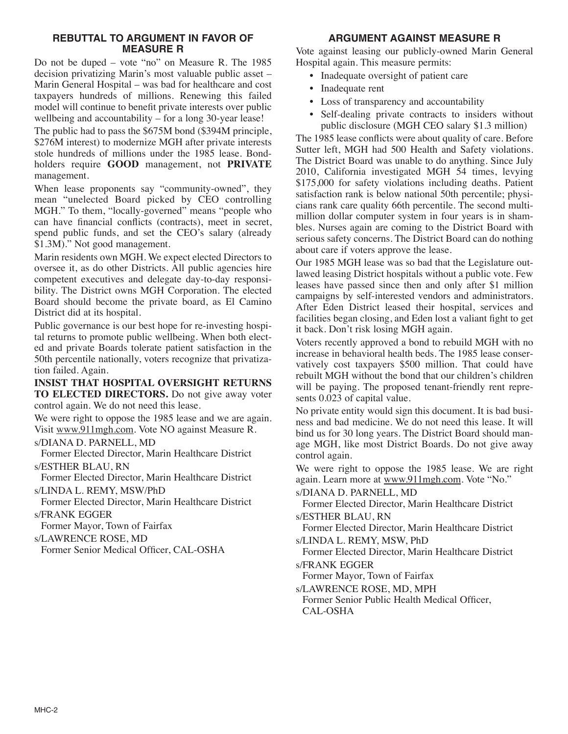### **REBUTTAL TO ARGUMENT IN FAVOR OF MEASURE R**

Do not be duped – vote "no" on Measure R. The 1985 decision privatizing Marin's most valuable public asset – Marin General Hospital – was bad for healthcare and cost taxpayers hundreds of millions. Renewing this failed model will continue to benefit private interests over public wellbeing and accountability – for a long 30-year lease!

The public had to pass the \$675M bond (\$394M principle, \$276M interest) to modernize MGH after private interests stole hundreds of millions under the 1985 lease. Bondholders require **GOOD** management, not **PRIVATE** management.

When lease proponents say "community-owned", they mean "unelected Board picked by CEO controlling MGH." To them, "locally-governed" means "people who can have financial conflicts (contracts), meet in secret, spend public funds, and set the CEO's salary (already \$1.3M)." Not good management.

Marin residents own MGH. We expect elected Directors to oversee it, as do other Districts. All public agencies hire competent executives and delegate day-to-day responsibility. The District owns MGH Corporation. The elected Board should become the private board, as El Camino District did at its hospital.

Public governance is our best hope for re-investing hospital returns to promote public wellbeing. When both elected and private Boards tolerate patient satisfaction in the 50th percentile nationally, voters recognize that privatization failed. Again.

**INSIST THAT HOSPITAL OVERSIGHT RETURNS TO ELECTED DIRECTORS.** Do not give away voter control again. We do not need this lease.

We were right to oppose the 1985 lease and we are again. Visit www.911mgh.com. Vote NO against Measure R.

s/DIANA D. PARNELL, MD

Former Elected Director, Marin Healthcare District s/ESTHER BLAU, RN

Former Elected Director, Marin Healthcare District s/LINDA L. REMY, MSW/PhD

Former Elected Director, Marin Healthcare District s/FRANK EGGER

Former Mayor, Town of Fairfax

s/LAWRENCE ROSE, MD

Former Senior Medical Officer, CAL-OSHA

# **ARGUMENT AGAINST MEASURE R**

Vote against leasing our publicly-owned Marin General Hospital again. This measure permits:

- Inadequate oversight of patient care
- Inadequate rent
- Loss of transparency and accountability
- Self-dealing private contracts to insiders without public disclosure (MGH CEO salary \$1.3 million)

The 1985 lease conflicts were about quality of care. Before Sutter left, MGH had 500 Health and Safety violations. The District Board was unable to do anything. Since July 2010, California investigated MGH 54 times, levying \$175,000 for safety violations including deaths. Patient satisfaction rank is below national 50th percentile; physicians rank care quality 66th percentile. The second multimillion dollar computer system in four years is in shambles. Nurses again are coming to the District Board with serious safety concerns. The District Board can do nothing about care if voters approve the lease.

Our 1985 MGH lease was so bad that the Legislature outlawed leasing District hospitals without a public vote. Few leases have passed since then and only after \$1 million campaigns by self-interested vendors and administrators. After Eden District leased their hospital, services and facilities began closing, and Eden lost a valiant fight to get it back. Don't risk losing MGH again.

Voters recently approved a bond to rebuild MGH with no increase in behavioral health beds. The 1985 lease conservatively cost taxpayers \$500 million. That could have rebuilt MGH without the bond that our children's children will be paying. The proposed tenant-friendly rent represents 0.023 of capital value.

No private entity would sign this document. It is bad business and bad medicine. We do not need this lease. It will bind us for 30 long years. The District Board should manage MGH, like most District Boards. Do not give away control again.

We were right to oppose the 1985 lease. We are right again. Learn more at www.911mgh.com. Vote "No."

s/DIANA D. PARNELL, MD

Former Elected Director, Marin Healthcare District s/ESTHER BLAU, RN

Former Elected Director, Marin Healthcare District

s/LINDA L. REMY, MSW, PhD

Former Elected Director, Marin Healthcare District s/FRANK EGGER

Former Mayor, Town of Fairfax

s/LAWRENCE ROSE, MD, MPH

Former Senior Public Health Medical Officer, CAL-OSHA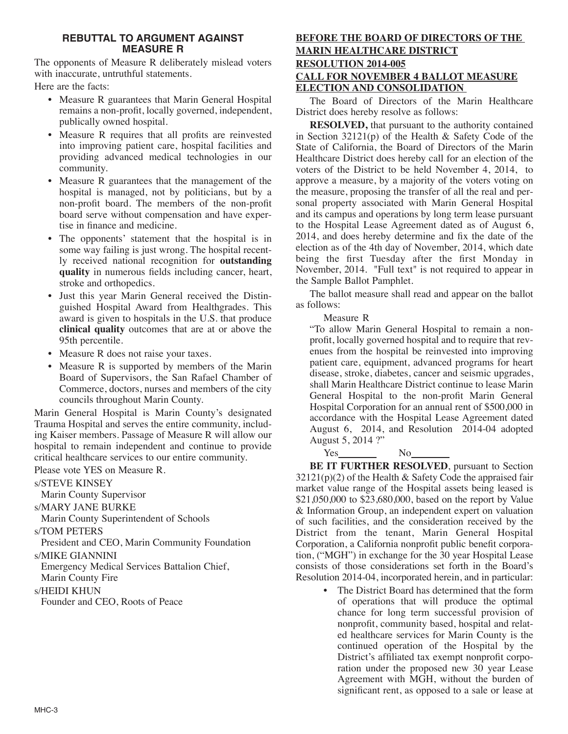# **REBUTTAL TO ARGUMENT AGAINST MEASURE R**

The opponents of Measure R deliberately mislead voters with inaccurate, untruthful statements.

Here are the facts:

- Measure R guarantees that Marin General Hospital remains a non-profit, locally governed, independent, publically owned hospital.
- Measure R requires that all profits are reinvested into improving patient care, hospital facilities and providing advanced medical technologies in our community.
- Measure R guarantees that the management of the hospital is managed, not by politicians, but by a non-profit board. The members of the non-profit board serve without compensation and have expertise in finance and medicine.
- The opponents' statement that the hospital is in some way failing is just wrong. The hospital recently received national recognition for **outstanding quality** in numerous fields including cancer, heart, stroke and orthopedics.
- Just this year Marin General received the Distinguished Hospital Award from Healthgrades. This award is given to hospitals in the U.S. that produce **clinical quality** outcomes that are at or above the 95th percentile.
- Measure R does not raise your taxes.
- Measure R is supported by members of the Marin Board of Supervisors, the San Rafael Chamber of Commerce, doctors, nurses and members of the city councils throughout Marin County.

Marin General Hospital is Marin County's designated Trauma Hospital and serves the entire community, including Kaiser members. Passage of Measure R will allow our hospital to remain independent and continue to provide critical healthcare services to our entire community.

Please vote YES on Measure R.

## s/STEVE KINSEY

Marin County Supervisor

s/MARY JANE BURKE

Marin County Superintendent of Schools

s/TOM PETERS

President and CEO, Marin Community Foundation s/MIKE GIANNINI

Emergency Medical Services Battalion Chief,

Marin County Fire

s/HEIDI KHUN

Founder and CEO, Roots of Peace

# **BEFORE THE BOARD OF DIRECTORS OF THE MARIN HEALTHCARE DISTRICT RESOLUTION 2014-005 CALL FOR NOVEMBER 4 BALLOT MEASURE ELECTION AND CONSOLIDATION**

The Board of Directors of the Marin Healthcare District does hereby resolve as follows:

**RESOLVED,** that pursuant to the authority contained in Section 32121(p) of the Health & Safety Code of the State of California, the Board of Directors of the Marin Healthcare District does hereby call for an election of the voters of the District to be held November 4, 2014, to approve a measure, by a majority of the voters voting on the measure, proposing the transfer of all the real and personal property associated with Marin General Hospital and its campus and operations by long term lease pursuant to the Hospital Lease Agreement dated as of August 6, 2014, and does hereby determine and fix the date of the election as of the 4th day of November, 2014, which date being the first Tuesday after the first Monday in November, 2014. "Full text" is not required to appear in the Sample Ballot Pamphlet.

The ballot measure shall read and appear on the ballot as follows:

Measure R

"To allow Marin General Hospital to remain a nonprofit, locally governed hospital and to require that revenues from the hospital be reinvested into improving patient care, equipment, advanced programs for heart disease, stroke, diabetes, cancer and seismic upgrades, shall Marin Healthcare District continue to lease Marin General Hospital to the non-profit Marin General Hospital Corporation for an annual rent of \$500,000 in accordance with the Hospital Lease Agreement dated August 6, 2014, and Resolution 2014-04 adopted August 5, 2014 ?"

 $Yes$   $No$ 

**BE IT FURTHER RESOLVED**, pursuant to Section  $32121(p)(2)$  of the Health & Safety Code the appraised fair market value range of the Hospital assets being leased is \$21,050,000 to \$23,680,000, based on the report by Value & Information Group, an independent expert on valuation of such facilities, and the consideration received by the District from the tenant, Marin General Hospital Corporation, a California nonprofit public benefit corporation, ("MGH") in exchange for the 30 year Hospital Lease consists of those considerations set forth in the Board's Resolution 2014-04, incorporated herein, and in particular:

The District Board has determined that the form of operations that will produce the optimal chance for long term successful provision of nonprofit, community based, hospital and related healthcare services for Marin County is the continued operation of the Hospital by the District's affiliated tax exempt nonprofit corporation under the proposed new 30 year Lease Agreement with MGH, without the burden of significant rent, as opposed to a sale or lease at